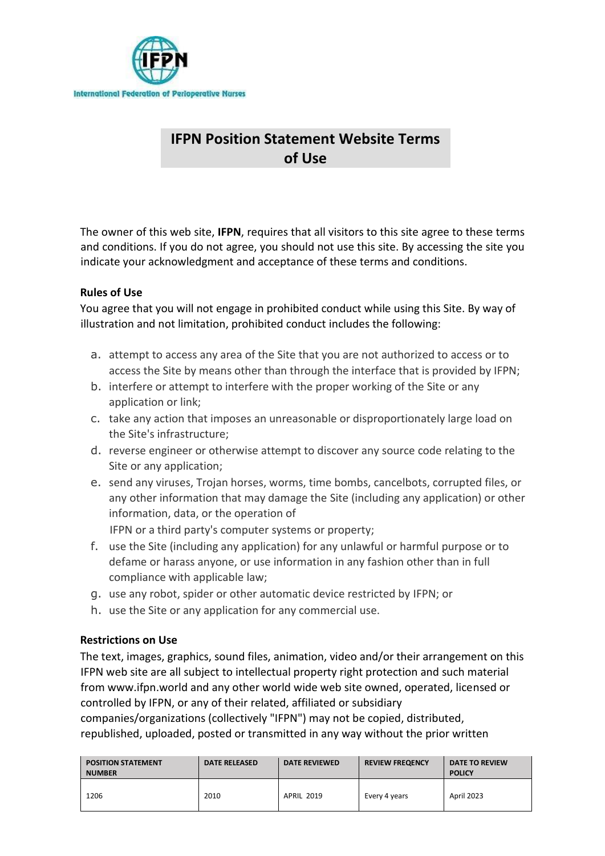

# **IFPN Position Statement Website Terms of Use**

The owner of this web site, **IFPN**, requires that all visitors to this site agree to these terms and conditions. If you do not agree, you should not use this site. By accessing the site you indicate your acknowledgment and acceptance of these terms and conditions.

## **Rules of Use**

You agree that you will not engage in prohibited conduct while using this Site. By way of illustration and not limitation, prohibited conduct includes the following:

- a. attempt to access any area of the Site that you are not authorized to access or to access the Site by means other than through the interface that is provided by IFPN;
- b. interfere or attempt to interfere with the proper working of the Site or any application or link;
- c. take any action that imposes an unreasonable or disproportionately large load on the Site's infrastructure;
- d. reverse engineer or otherwise attempt to discover any source code relating to the Site or any application;
- e. send any viruses, Trojan horses, worms, time bombs, cancelbots, corrupted files, or any other information that may damage the Site (including any application) or other information, data, or the operation of

IFPN or a third party's computer systems or property;

- f. use the Site (including any application) for any unlawful or harmful purpose or to defame or harass anyone, or use information in any fashion other than in full compliance with applicable law;
- g. use any robot, spider or other automatic device restricted by IFPN; or
- h. use the Site or any application for any commercial use.

### **Restrictions on Use**

The text, images, graphics, sound files, animation, video and/or their arrangement on this IFPN web site are all subject to intellectual property right protection and such material from www.ifpn.world and any other world wide web site owned, operated, licensed or controlled by IFPN, or any of their related, affiliated or subsidiary

companies/organizations (collectively "IFPN") may not be copied, distributed, republished, uploaded, posted or transmitted in any way without the prior written

| <b>POSITION STATEMENT</b><br><b>NUMBER</b> | <b>DATE RELEASED</b> | <b>DATE REVIEWED</b> | <b>REVIEW FREQENCY</b> | <b>DATE TO REVIEW</b><br><b>POLICY</b> |
|--------------------------------------------|----------------------|----------------------|------------------------|----------------------------------------|
| 1206                                       | 2010                 | <b>APRIL 2019</b>    | Every 4 years          | April 2023                             |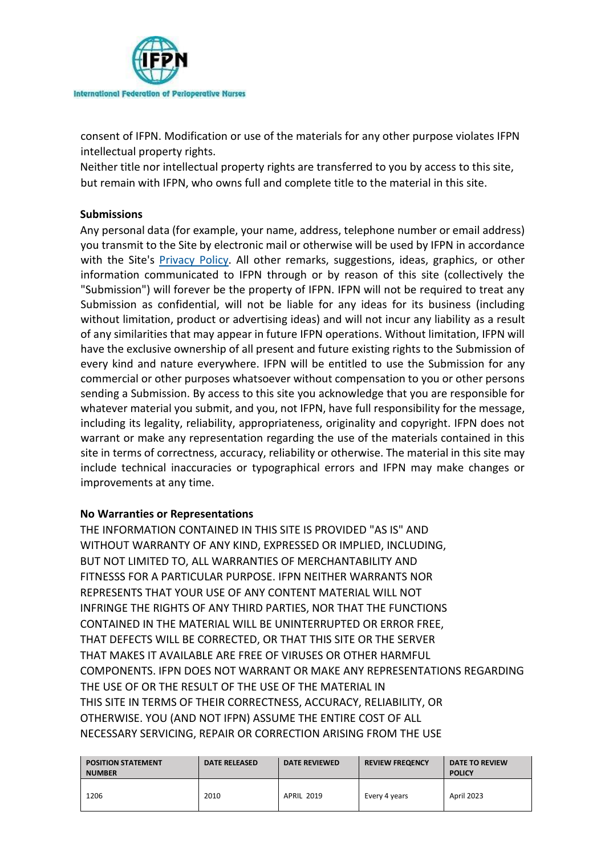

consent of IFPN. Modification or use of the materials for any other purpose violates IFPN intellectual property rights.

Neither title nor intellectual property rights are transferred to you by access to this site, but remain with IFPN, who owns full and complete title to the material in this site.

## **Submissions**

Any personal data (for example, your name, address, telephone number or email address) you transmit to the Site by electronic mail or otherwise will be used by IFPN in accordance with the Site's [Privacy Policy.](http://www.ifpn.world/privacy.phtml) All other remarks, suggestions, ideas, graphics, or other information communicated to IFPN through or by reason of this site (collectively the "Submission") will forever be the property of IFPN. IFPN will not be required to treat any Submission as confidential, will not be liable for any ideas for its business (including without limitation, product or advertising ideas) and will not incur any liability as a result of any similarities that may appear in future IFPN operations. Without limitation, IFPN will have the exclusive ownership of all present and future existing rights to the Submission of every kind and nature everywhere. IFPN will be entitled to use the Submission for any commercial or other purposes whatsoever without compensation to you or other persons sending a Submission. By access to this site you acknowledge that you are responsible for whatever material you submit, and you, not IFPN, have full responsibility for the message, including its legality, reliability, appropriateness, originality and copyright. IFPN does not warrant or make any representation regarding the use of the materials contained in this site in terms of correctness, accuracy, reliability or otherwise. The material in this site may include technical inaccuracies or typographical errors and IFPN may make changes or improvements at any time.

## **No Warranties or Representations**

THE INFORMATION CONTAINED IN THIS SITE IS PROVIDED "AS IS" AND WITHOUT WARRANTY OF ANY KIND, EXPRESSED OR IMPLIED, INCLUDING, BUT NOT LIMITED TO, ALL WARRANTIES OF MERCHANTABILITY AND FITNESSS FOR A PARTICULAR PURPOSE. IFPN NEITHER WARRANTS NOR REPRESENTS THAT YOUR USE OF ANY CONTENT MATERIAL WILL NOT INFRINGE THE RIGHTS OF ANY THIRD PARTIES, NOR THAT THE FUNCTIONS CONTAINED IN THE MATERIAL WILL BE UNINTERRUPTED OR ERROR FREE, THAT DEFECTS WILL BE CORRECTED, OR THAT THIS SITE OR THE SERVER THAT MAKES IT AVAILABLE ARE FREE OF VIRUSES OR OTHER HARMFUL COMPONENTS. IFPN DOES NOT WARRANT OR MAKE ANY REPRESENTATIONS REGARDING THE USE OF OR THE RESULT OF THE USE OF THE MATERIAL IN THIS SITE IN TERMS OF THEIR CORRECTNESS, ACCURACY, RELIABILITY, OR OTHERWISE. YOU (AND NOT IFPN) ASSUME THE ENTIRE COST OF ALL NECESSARY SERVICING, REPAIR OR CORRECTION ARISING FROM THE USE

| <b>POSITION STATEMENT</b><br><b>NUMBER</b> | <b>DATE RELEASED</b> | <b>DATE REVIEWED</b> | <b>REVIEW FREQENCY</b> | DATE TO REVIEW<br><b>POLICY</b> |
|--------------------------------------------|----------------------|----------------------|------------------------|---------------------------------|
| 1206                                       | 2010                 | <b>APRIL 2019</b>    | Every 4 years          | April 2023                      |